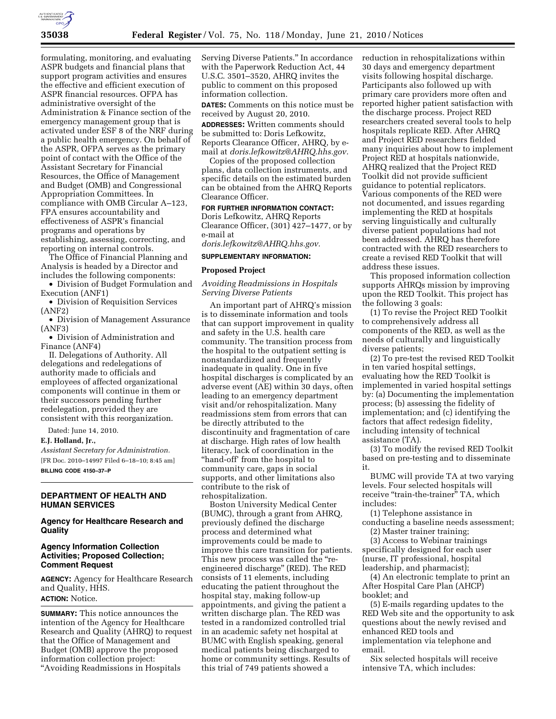

formulating, monitoring, and evaluating ASPR budgets and financial plans that support program activities and ensures the effective and efficient execution of ASPR financial resources. OFPA has administrative oversight of the Administration & Finance section of the emergency management group that is activated under ESF 8 of the NRF during a public health emergency. On behalf of the ASPR, OFPA serves as the primary point of contact with the Office of the Assistant Secretary for Financial Resources, the Office of Management and Budget (OMB) and Congressional Appropriation Committees. In compliance with OMB Circular A–123, FPA ensures accountability and effectiveness of ASPR's financial programs and operations by establishing, assessing, correcting, and reporting on internal controls.

The Office of Financial Planning and Analysis is headed by a Director and includes the following components:

• Division of Budget Formulation and Execution (ANF1)

• Division of Requisition Services (ANF2)

• Division of Management Assurance (ANF3)

• Division of Administration and Finance (ANF4)

II. Delegations of Authority. All delegations and redelegations of authority made to officials and employees of affected organizational components will continue in them or their successors pending further redelegation, provided they are consistent with this reorganization.

Dated: June 14, 2010.

## **E.J. Holland, Jr.,**

*Assistant Secretary for Administration.*  [FR Doc. 2010–14997 Filed 6–18–10; 8:45 am] **BILLING CODE 4150–37–P** 

## **DEPARTMENT OF HEALTH AND HUMAN SERVICES**

### **Agency for Healthcare Research and Quality**

## **Agency Information Collection Activities; Proposed Collection; Comment Request**

**AGENCY:** Agency for Healthcare Research and Quality, HHS. **ACTION:** Notice.

**SUMMARY:** This notice announces the intention of the Agency for Healthcare Research and Quality (AHRQ) to request that the Office of Management and Budget (OMB) approve the proposed information collection project: ''Avoiding Readmissions in Hospitals

Serving Diverse Patients.'' In accordance with the Paperwork Reduction Act, 44 U.S.C. 3501–3520, AHRQ invites the public to comment on this proposed information collection.

**DATES:** Comments on this notice must be received by August 20, 2010.

**ADDRESSES:** Written comments should be submitted to: Doris Lefkowitz, Reports Clearance Officer, AHRQ, by email at *doris.lefkowitz@AHRQ.hhs.gov.* 

Copies of the proposed collection plans, data collection instruments, and specific details on the estimated burden can be obtained from the AHRQ Reports Clearance Officer.

**FOR FURTHER INFORMATION CONTACT:**  Doris Lefkowitz, AHRQ Reports Clearance Officer, (301) 427–1477, or by e-mail at

*doris.lefkowitz@AHRQ.hhs.gov.* 

# **SUPPLEMENTARY INFORMATION:**

## **Proposed Project**

### *Avoiding Readmissions in Hospitals Serving Diverse Patients*

An important part of AHRQ's mission is to disseminate information and tools that can support improvement in quality and safety in the U.S. health care community. The transition process from the hospital to the outpatient setting is nonstandardized and frequently inadequate in quality. One in five hospital discharges is complicated by an adverse event (AE) within 30 days, often leading to an emergency department visit and/or rehospitalization. Many readmissions stem from errors that can be directly attributed to the discontinuity and fragmentation of care at discharge. High rates of low health literacy, lack of coordination in the "hand-off' from the hospital to community care, gaps in social supports, and other limitations also contribute to the risk of rehospitalization.

Boston University Medical Center (BUMC), through a grant from AHRQ, previously defined the discharge process and determined what improvements could be made to improve this care transition for patients. This new process was called the "reengineered discharge'' (RED). The RED consists of 11 elements, including educating the patient throughout the hospital stay, making follow-up appointments, and giving the patient a written discharge plan. The RED was tested in a randomized controlled trial in an academic safety net hospital at BUMC with English speaking, general medical patients being discharged to home or community settings. Results of this trial of 749 patients showed a

reduction in rehospitalizations within 30 days and emergency department visits following hospital discharge. Participants also followed up with primary care providers more often and reported higher patient satisfaction with the discharge process. Project RED researchers created several tools to help hospitals replicate RED. After AHRQ and Project RED researchers fielded many inquiries about how to implement Project RED at hospitals nationwide, AHRQ realized that the Project RED Toolkit did not provide sufficient guidance to potential replicators. Various components of the RED were not documented, and issues regarding implementing the RED at hospitals serving linguistically and culturally diverse patient populations had not been addressed. AHRQ has therefore contracted with the RED researchers to create a revised RED Toolkit that will address these issues.

This proposed information collection supports AHRQs mission by improving upon the RED Toolkit. This project has the following 3 goals:

(1) To revise the Project RED Toolkit to comprehensively address all components of the RED, as well as the needs of culturally and linguistically diverse patients;

(2) To pre-test the revised RED Toolkit in ten varied hospital settings, evaluating how the RED Toolkit is implemented in varied hospital settings by: (a) Documenting the implementation process; (b) assessing the fidelity of implementation; and (c) identifying the factors that affect redesign fidelity, including intensity of technical assistance (TA).

(3) To modify the revised RED Toolkit based on pre-testing and to disseminate it.

BUMC will provide TA at two varying levels. Four selected hospitals will receive "train-the-trainer" TA, which includes:

- (1) Telephone assistance in conducting a baseline needs assessment;
- (2) Master trainer training;

(3) Access to Webinar trainings specifically designed for each user (nurse, IT professional, hospital leadership, and pharmacist);

(4) An electronic template to print an After Hospital Care Plan (AHCP) booklet; and

(5) E-mails regarding updates to the RED Web site and the opportunity to ask questions about the newly revised and enhanced RED tools and implementation via telephone and email.

Six selected hospitals will receive intensive TA, which includes: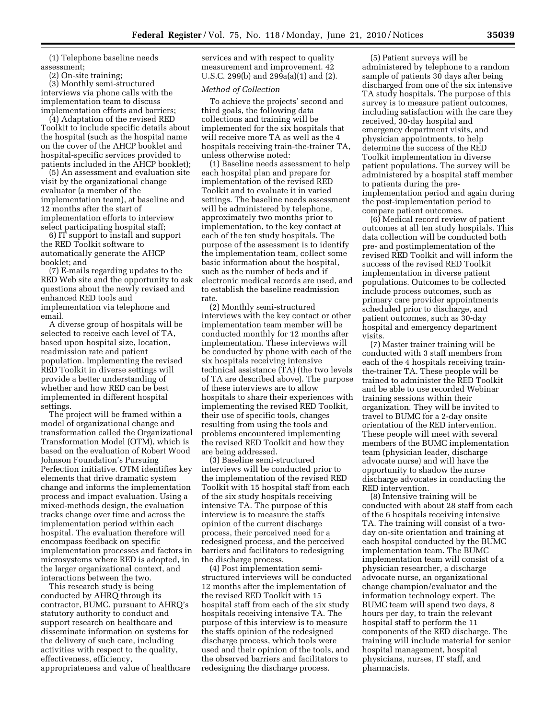(1) Telephone baseline needs assessment;

(2) On-site training;

(3) Monthly semi-structured interviews via phone calls with the implementation team to discuss implementation efforts and barriers;

(4) Adaptation of the revised RED Toolkit to include specific details about the hospital (such as the hospital name on the cover of the AHCP booklet and hospital-specific services provided to patients included in the AHCP booklet);

(5) An assessment and evaluation site visit by the organizational change evaluator (a member of the implementation team), at baseline and 12 months after the start of implementation efforts to interview select participating hospital staff;

6) IT support to install and support the RED Toolkit software to automatically generate the AHCP booklet; and

(7) E-mails regarding updates to the RED Web site and the opportunity to ask questions about the newly revised and enhanced RED tools and implementation via telephone and email.

A diverse group of hospitals will be selected to receive each level of TA, based upon hospital size, location, readmission rate and patient population. Implementing the revised RED Toolkit in diverse settings will provide a better understanding of whether and how RED can be best implemented in different hospital settings.

The project will be framed within a model of organizational change and transformation called the Organizational Transformation Model (OTM), which is based on the evaluation of Robert Wood Johnson Foundation's Pursuing Perfection initiative. OTM identifies key elements that drive dramatic system change and informs the implementation process and impact evaluation. Using a mixed-methods design, the evaluation tracks change over time and across the implementation period within each hospital. The evaluation therefore will encompass feedback on specific implementation processes and factors in microsystems where RED is adopted, in the larger organizational context, and interactions between the two.

This research study is being conducted by AHRQ through its contractor, BUMC, pursuant to AHRQ's statutory authority to conduct and support research on healthcare and disseminate information on systems for the delivery of such care, including activities with respect to the quality, effectiveness, efficiency, appropriateness and value of healthcare services and with respect to quality measurement and improvement. 42 U.S.C. 299(b) and 299a(a)(1) and (2).

## *Method of Collection*

To achieve the projects' second and third goals, the following data collections and training will be implemented for the six hospitals that will receive more TA as well as the 4 hospitals receiving train-the-trainer TA, unless otherwise noted:

(1) Baseline needs assessment to help each hospital plan and prepare for implementation of the revised RED Toolkit and to evaluate it in varied settings. The baseline needs assessment will be administered by telephone, approximately two months prior to implementation, to the key contact at each of the ten study hospitals. The purpose of the assessment is to identify the implementation team, collect some basic information about the hospital, such as the number of beds and if electronic medical records are used, and to establish the baseline readmission rate.

(2) Monthly semi-structured interviews with the key contact or other implementation team member will be conducted monthly for 12 months after implementation. These interviews will be conducted by phone with each of the six hospitals receiving intensive technical assistance (TA) (the two levels of TA are described above). The purpose of these interviews are to allow hospitals to share their experiences with implementing the revised RED Toolkit, their use of specific tools, changes resulting from using the tools and problems encountered implementing the revised RED Toolkit and how they are being addressed.

(3) Baseline semi-structured interviews will be conducted prior to the implementation of the revised RED Toolkit with 15 hospital staff from each of the six study hospitals receiving intensive TA. The purpose of this interview is to measure the staffs opinion of the current discharge process, their perceived need for a redesigned process, and the perceived barriers and facilitators to redesigning the discharge process.

(4) Post implementation semistructured interviews will be conducted 12 months after the implementation of the revised RED Toolkit with 15 hospital staff from each of the six study hospitals receiving intensive TA. The purpose of this interview is to measure the staffs opinion of the redesigned discharge process, which tools were used and their opinion of the tools, and the observed barriers and facilitators to redesigning the discharge process.

(5) Patient surveys will be administered by telephone to a random sample of patients 30 days after being discharged from one of the six intensive TA study hospitals. The purpose of this survey is to measure patient outcomes, including satisfaction with the care they received, 30-day hospital and emergency department visits, and physician appointments, to help determine the success of the RED Toolkit implementation in diverse patient populations. The survey will be administered by a hospital staff member to patients during the preimplementation period and again during the post-implementation period to compare patient outcomes.

(6) Medical record review of patient outcomes at all ten study hospitals. This data collection will be conducted both pre- and postimplementation of the revised RED Toolkit and will inform the success of the revised RED Toolkit implementation in diverse patient populations. Outcomes to be collected include process outcomes, such as primary care provider appointments scheduled prior to discharge, and patient outcomes, such as 30-day hospital and emergency department visits.

(7) Master trainer training will be conducted with 3 staff members from each of the 4 hospitals receiving trainthe-trainer TA. These people will be trained to administer the RED Toolkit and be able to use recorded Webinar training sessions within their organization. They will be invited to travel to BUMC for a 2-day onsite orientation of the RED intervention. These people will meet with several members of the BUMC implementation team (physician leader, discharge advocate nurse) and will have the opportunity to shadow the nurse discharge advocates in conducting the RED intervention.

(8) Intensive training will be conducted with about 28 staff from each of the 6 hospitals receiving intensive TA. The training will consist of a twoday on-site orientation and training at each hospital conducted by the BUMC implementation team. The BUMC implementation team will consist of a physician researcher, a discharge advocate nurse, an organizational change champion/evaluator and the information technology expert. The BUMC team will spend two days, 8 hours per day, to train the relevant hospital staff to perform the 11 components of the RED discharge. The training will include material for senior hospital management, hospital physicians, nurses, IT staff, and pharmacists.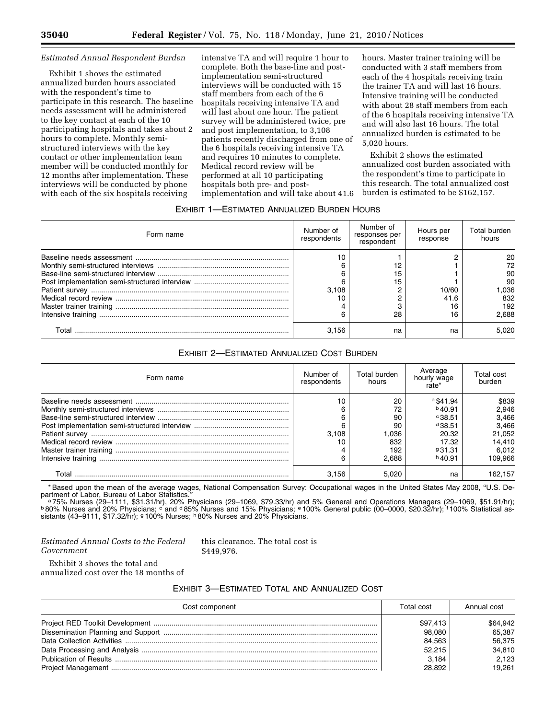### *Estimated Annual Respondent Burden*

Exhibit 1 shows the estimated annualized burden hours associated with the respondent's time to participate in this research. The baseline needs assessment will be administered to the key contact at each of the 10 participating hospitals and takes about 2 hours to complete. Monthly semistructured interviews with the key contact or other implementation team member will be conducted monthly for 12 months after implementation. These interviews will be conducted by phone with each of the six hospitals receiving

intensive TA and will require 1 hour to complete. Both the base-line and postimplementation semi-structured interviews will be conducted with 15 staff members from each of the 6 hospitals receiving intensive TA and will last about one hour. The patient survey will be administered twice, pre and post implementation, to 3,108 patients recently discharged from one of the 6 hospitals receiving intensive TA and requires 10 minutes to complete. Medical record review will be performed at all 10 participating hospitals both pre- and postimplementation and will take about 41.6 hours. Master trainer training will be conducted with 3 staff members from each of the 4 hospitals receiving train the trainer TA and will last 16 hours. Intensive training will be conducted with about 28 staff members from each of the 6 hospitals receiving intensive TA and will also last 16 hours. The total annualized burden is estimated to be 5,020 hours.

Exhibit 2 shows the estimated annualized cost burden associated with the respondent's time to participate in this research. The total annualized cost burden is estimated to be \$162,157.

# EXHIBIT 1—ESTIMATED ANNUALIZED BURDEN HOURS

| Form name | Number of<br>respondents | Number of<br>responses per<br>respondent | Hours per<br>response | Total burden<br>hours                               |
|-----------|--------------------------|------------------------------------------|-----------------------|-----------------------------------------------------|
|           | 10<br>3.108<br>ิค        | 12<br>15<br>15<br>28                     | 10/60<br>41.6<br>16   | 20<br>72<br>90<br>90<br>.036<br>832<br>192<br>2.688 |
| Total     | 3.156                    | na                                       | na                    | 5.020                                               |

## EXHIBIT 2—ESTIMATED ANNUALIZED COST BURDEN

| Form name | Number of<br>respondents | Total burden<br>hours | Average<br>hourly wage<br>rate* | Total cost<br>burden |
|-----------|--------------------------|-----------------------|---------------------------------|----------------------|
|           | 10                       | 20                    | $a$ \$41.94                     | \$839                |
|           |                          | 72                    | $b$ 40.91                       | 2.946                |
|           |                          | 90                    | $^{\circ}38.51$                 | 3,466                |
|           |                          | 90                    | $d$ 38.51                       | 3,466                |
|           | 3.108                    | 1.036                 | 20.32                           | 21.052               |
|           |                          | 832                   | 17.32                           | 14.410               |
|           |                          | 192                   | 931.31                          | 6,012                |
|           |                          | 2.688                 | $h$ 40.91                       | 109.966              |
| Total     | 3.156                    | 5.020                 | na                              | 162.157              |

\* Based upon the mean of the average wages, National Compensation Survey: Occupational wages in the United States May 2008, ''U.S. De-

partment of Labor, Bureau of Labor Statistics."<br>- ª 75% Nurses (29–1111, \$31.31/hr), 20% Physicians (29–1069, \$79.33/hr) and 5% General and Operations Managers (29–1069, \$51.91/hr);<br>ʰ 80% Nurses and 20% Physicians; ° and ª sistants (43–9111, \$17.32/hr); 9100% Nurses; <sup>h</sup> 80% Nurses and 20% Physicians.

## *Estimated Annual Costs to the Federal Government*

this clearance. The total cost is \$449,976.

Exhibit 3 shows the total and annualized cost over the 18 months of

## EXHIBIT 3—ESTIMATED TOTAL AND ANNUALIZED COST

| Cost component | Total cost | Annual cost |
|----------------|------------|-------------|
|                | \$97,413   | \$64.942    |
|                | 98,080     | 65.387      |
|                | 84,563     | 56,375      |
|                | 52,215     | 34,810      |
|                | 3.184      | 2.123       |
|                | 28.892     | 19.261      |